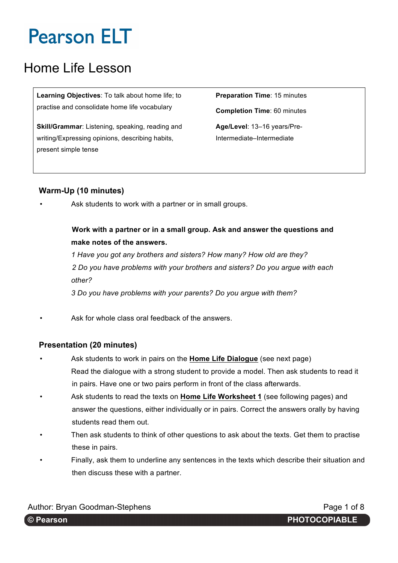## Home Life Lesson

**Learning Objectives**: To talk about home life; to practise and consolidate home life vocabulary

**Skill/Grammar**: Listening, speaking, reading and writing/Expressing opinions, describing habits, present simple tense

**Preparation Time**: 15 minutes **Completion Time**: 60 minutes **Age/Level**: 13–16 years/Pre-Intermediate–Intermediate

### **Warm-Up (10 minutes)**

Ask students to work with a partner or in small groups.

### **Work with a partner or in a small group. Ask and answer the questions and make notes of the answers.**

*1 Have you got any brothers and sisters? How many? How old are they? 2 Do you have problems with your brothers and sisters? Do you argue with each other? 3 Do you have problems with your parents? Do you argue with them?*

Ask for whole class oral feedback of the answers.

### **Presentation (20 minutes)**

- Ask students to work in pairs on the **Home Life Dialogue** (see next page) Read the dialogue with a strong student to provide a model. Then ask students to read it in pairs. Have one or two pairs perform in front of the class afterwards.
- Ask students to read the texts on **Home Life Worksheet 1** (see following pages) and answer the questions, either individually or in pairs. Correct the answers orally by having students read them out.
- Then ask students to think of other questions to ask about the texts. Get them to practise these in pairs.
- Finally, ask them to underline any sentences in the texts which describe their situation and then discuss these with a partner.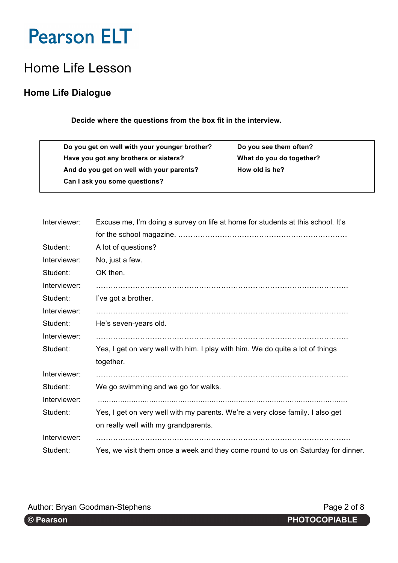## Home Life Lesson

### **Home Life Dialogue**

#### **Decide where the questions from the box fit in the interview.**

**Do you get on well with your younger brother? Do you see them often? Have you got any brothers or sisters? What do you do together?** And do you get on well with your parents? How old is he? **Can I ask you some questions?**

| Interviewer: | Excuse me, I'm doing a survey on life at home for students at this school. It's  |  |  |  |  |  |  |
|--------------|----------------------------------------------------------------------------------|--|--|--|--|--|--|
|              |                                                                                  |  |  |  |  |  |  |
| Student:     | A lot of questions?                                                              |  |  |  |  |  |  |
| Interviewer: | No, just a few.                                                                  |  |  |  |  |  |  |
| Student:     | OK then.                                                                         |  |  |  |  |  |  |
| Interviewer: |                                                                                  |  |  |  |  |  |  |
| Student:     | I've got a brother.                                                              |  |  |  |  |  |  |
| Interviewer: |                                                                                  |  |  |  |  |  |  |
| Student:     | He's seven-years old.                                                            |  |  |  |  |  |  |
| Interviewer: |                                                                                  |  |  |  |  |  |  |
| Student:     | Yes, I get on very well with him. I play with him. We do quite a lot of things   |  |  |  |  |  |  |
|              | together.                                                                        |  |  |  |  |  |  |
| Interviewer: |                                                                                  |  |  |  |  |  |  |
| Student:     | We go swimming and we go for walks.                                              |  |  |  |  |  |  |
| Interviewer: |                                                                                  |  |  |  |  |  |  |
| Student:     | Yes, I get on very well with my parents. We're a very close family. I also get   |  |  |  |  |  |  |
|              | on really well with my grandparents.                                             |  |  |  |  |  |  |
| Interviewer: |                                                                                  |  |  |  |  |  |  |
| Student:     | Yes, we visit them once a week and they come round to us on Saturday for dinner. |  |  |  |  |  |  |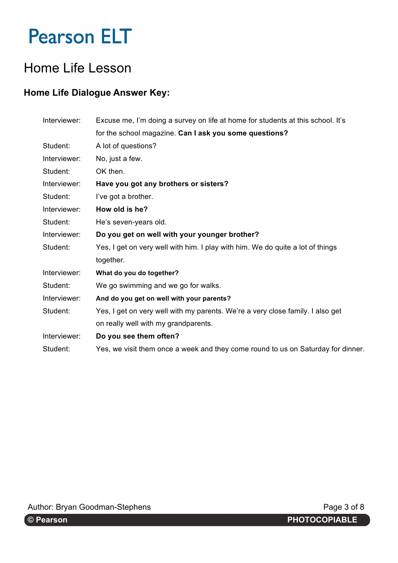## Home Life Lesson

### **Home Life Dialogue Answer Key:**

| Interviewer: | Excuse me, I'm doing a survey on life at home for students at this school. It's  |  |  |  |  |  |  |
|--------------|----------------------------------------------------------------------------------|--|--|--|--|--|--|
|              | for the school magazine. Can I ask you some questions?                           |  |  |  |  |  |  |
| Student:     | A lot of questions?                                                              |  |  |  |  |  |  |
| Interviewer: | No, just a few.                                                                  |  |  |  |  |  |  |
| Student:     | OK then.                                                                         |  |  |  |  |  |  |
| Interviewer: | Have you got any brothers or sisters?                                            |  |  |  |  |  |  |
| Student:     | I've got a brother.                                                              |  |  |  |  |  |  |
| Interviewer: | How old is he?                                                                   |  |  |  |  |  |  |
| Student:     | He's seven-years old.                                                            |  |  |  |  |  |  |
| Interviewer: | Do you get on well with your younger brother?                                    |  |  |  |  |  |  |
| Student:     | Yes, I get on very well with him. I play with him. We do quite a lot of things   |  |  |  |  |  |  |
|              | together.                                                                        |  |  |  |  |  |  |
| Interviewer: | What do you do together?                                                         |  |  |  |  |  |  |
| Student:     | We go swimming and we go for walks.                                              |  |  |  |  |  |  |
| Interviewer: | And do you get on well with your parents?                                        |  |  |  |  |  |  |
| Student:     | Yes, I get on very well with my parents. We're a very close family. I also get   |  |  |  |  |  |  |
|              | on really well with my grandparents.                                             |  |  |  |  |  |  |
| Interviewer: | Do you see them often?                                                           |  |  |  |  |  |  |
| Student:     | Yes, we visit them once a week and they come round to us on Saturday for dinner. |  |  |  |  |  |  |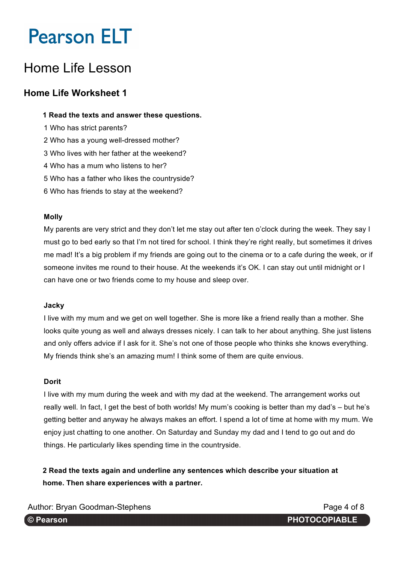## Home Life Lesson

### **Home Life Worksheet 1**

#### **1 Read the texts and answer these questions.**

- 1 Who has strict parents?
- 2 Who has a young well-dressed mother?
- 3 Who lives with her father at the weekend?
- 4 Who has a mum who listens to her?
- 5 Who has a father who likes the countryside?
- 6 Who has friends to stay at the weekend?

#### **Molly**

My parents are very strict and they don't let me stay out after ten o'clock during the week. They say I must go to bed early so that I'm not tired for school. I think they're right really, but sometimes it drives me mad! It's a big problem if my friends are going out to the cinema or to a cafe during the week, or if someone invites me round to their house. At the weekends it's OK. I can stay out until midnight or I can have one or two friends come to my house and sleep over.

#### **Jacky**

I live with my mum and we get on well together. She is more like a friend really than a mother. She looks quite young as well and always dresses nicely. I can talk to her about anything. She just listens and only offers advice if I ask for it. She's not one of those people who thinks she knows everything. My friends think she's an amazing mum! I think some of them are quite envious.

#### **Dorit**

I live with my mum during the week and with my dad at the weekend. The arrangement works out really well. In fact, I get the best of both worlds! My mum's cooking is better than my dad's – but he's getting better and anyway he always makes an effort. I spend a lot of time at home with my mum. We enjoy just chatting to one another. On Saturday and Sunday my dad and I tend to go out and do things. He particularly likes spending time in the countryside.

**2 Read the texts again and underline any sentences which describe your situation at home. Then share experiences with a partner.**

Author: Bryan Goodman-Stephens **Page 4 of 8** Author: Page 4 of 8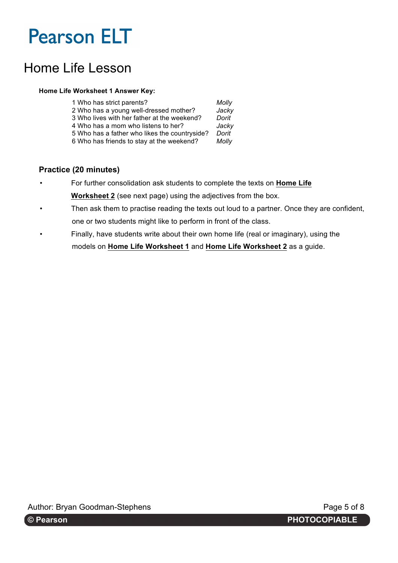## Home Life Lesson

#### **Home Life Worksheet 1 Answer Key:**

| 1 Who has strict parents?                     | Molly |
|-----------------------------------------------|-------|
| 2 Who has a young well-dressed mother?        | Jacky |
| 3 Who lives with her father at the weekend?   | Dorit |
| 4 Who has a mom who listens to her?           | Jacky |
| 5 Who has a father who likes the countryside? | Dorit |

6 Who has friends to stay at the weekend? *Molly*

#### **Practice (20 minutes)**

- For further consolidation ask students to complete the texts on **Home Life Worksheet 2** (see next page) using the adjectives from the box.
- Then ask them to practise reading the texts out loud to a partner. Once they are confident, one or two students might like to perform in front of the class.
- Finally, have students write about their own home life (real or imaginary), using the models on **Home Life Worksheet 1** and **Home Life Worksheet 2** as a guide.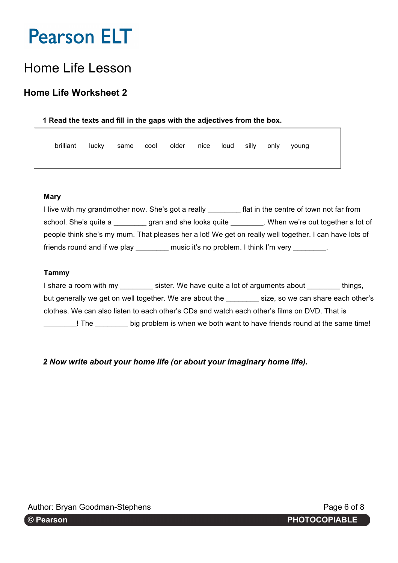## Home Life Lesson

### **Home Life Worksheet 2**

#### **1 Read the texts and fill in the gaps with the adjectives from the box.**

| brilliant lucky same cool older nice loud silly only young |  |  |  |  |  |
|------------------------------------------------------------|--|--|--|--|--|
|                                                            |  |  |  |  |  |

#### **Mary**

I live with my grandmother now. She's got a really **Fig. 1.1.** flat in the centre of town not far from school. She's quite a \_\_\_\_\_\_\_\_ gran and she looks quite \_\_\_\_\_\_\_\_. When we're out together a lot of people think she's my mum. That pleases her a lot! We get on really well together. I can have lots of friends round and if we play \_\_\_\_\_\_\_\_\_ music it's no problem. I think I'm very \_\_\_\_\_\_\_.

#### **Tammy**

I share a room with my sister. We have quite a lot of arguments about things, but generally we get on well together. We are about the \_\_\_\_\_\_\_ size, so we can share each other's clothes. We can also listen to each other's CDs and watch each other's films on DVD. That is \_\_\_\_\_\_\_\_! The \_\_\_\_\_\_\_\_ big problem is when we both want to have friends round at the same time!

*2 Now write about your home life (or about your imaginary home life).*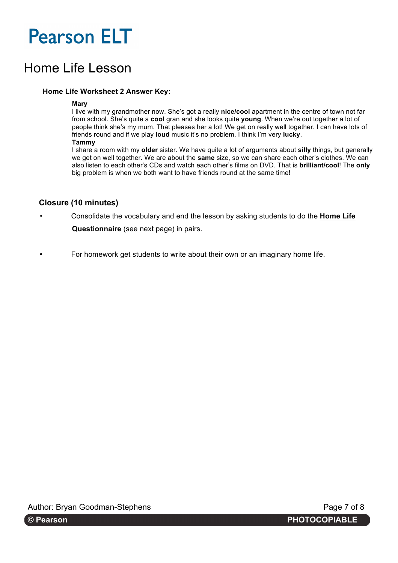## Home Life Lesson

#### **Home Life Worksheet 2 Answer Key:**

#### **Mary**

I live with my grandmother now. She's got a really **nice/cool** apartment in the centre of town not far from school. She's quite a **cool** gran and she looks quite **young**. When we're out together a lot of people think she's my mum. That pleases her a lot! We get on really well together. I can have lots of friends round and if we play **loud** music it's no problem. I think I'm very **lucky**.

#### **Tammy**

I share a room with my **older** sister. We have quite a lot of arguments about **silly** things, but generally we get on well together. We are about the **same** size, so we can share each other's clothes. We can also listen to each other's CDs and watch each other's films on DVD. That is **brilliant/cool**! The **only** big problem is when we both want to have friends round at the same time!

#### **Closure (10 minutes)**

• Consolidate the vocabulary and end the lesson by asking students to do the **Home Life** 

**Questionnaire** (see next page) in pairs.

**•** For homework get students to write about their own or an imaginary home life.